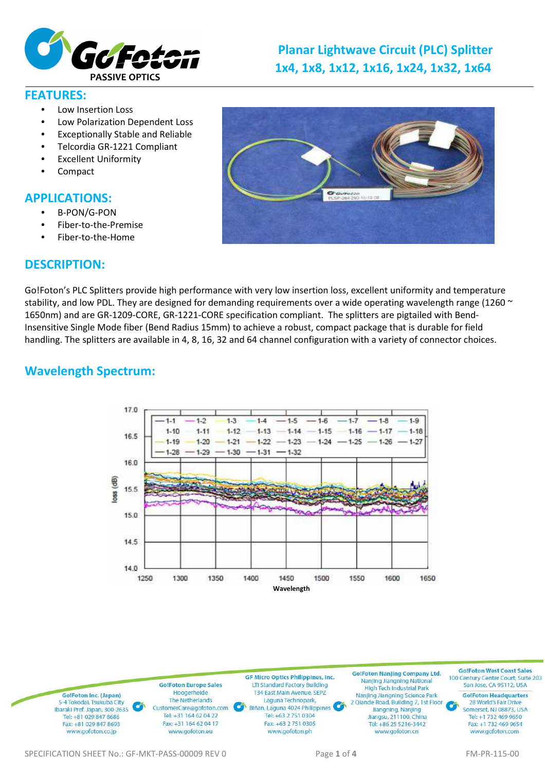

# **Planar Lightwave Circuit (PLC) Splitter 1x4, 1x8, 1x12, 1x16, 1x24, 1x32, 1x64**

#### **FEATURES:**

- Low Insertion Loss
- Low Polarization Dependent Loss
- Exceptionally Stable and Reliable
- Telcordia GR-1221 Compliant
- **Excellent Uniformity**
- Compact

## **APPLICATIONS:**

- B-PON/G-PON
- Fiber-to-the-Premise
- Fiber-to-the-Home

## **DESCRIPTION:**



Go!Foton's PLC Splitters provide high performance with very low insertion loss, excellent uniformity and temperature stability, and low PDL. They are designed for demanding requirements over a wide operating wavelength range (1260  $\sim$ 1650nm) and are GR-1209-CORE, GR-1221-CORE specification compliant. The splitters are pigtailed with Bend-Insensitive Single Mode fiber (Bend Radius 15mm) to achieve a robust, compact package that is durable for field handling. The splitters are available in 4, 8, 16, 32 and 64 channel configuration with a variety of connector choices.

# **Wavelength Spectrum:**



GolFoton West Coast Sales **Go!Foton Nanjing Company Ltd. GF Micro Optics Philippines, Inc.** 100 Century Center Court, Suite 203 Nanjing Jiangning National<br>High Tech Industrial Park **Go!Foton Europe Sales** San Jose, CA 95112, USA **LTI Standard Factory Building** 134 East Main Avenue, SEPZ Hoogerheide **Go!Foton Headquarters** Go!Foton Inc. (Japan) Nanjing Jiangning Science Park The Netherlands Laguna Technopark, 5-4 Tokodai, Tsukuba City 2 Qiande Road, Building 7, 1st Floor 28 World's Fair Drive Biñan, Laguna 4024 Philippines CustomerCare@gofoton.com Somerset, NJ 08873, USA Ibaraki Pref. Japan, 300-2635 Jiangning, Nanjing Tel: +31 164 62 04 22 Tel: +63 2 751 0304 Tel: +81 029 847 8686 Jiangsu, 211100, China Tel: +1 732 469 9650 Fax: +81 029 847 8693 Fax: +31 164 62 04 17 Fax: +63 2 751 0305 Tel: +86 25 5216-3442 Fax: +1 732 469 9654 www.gofoton.ph www.gofoton.co.jp www.gofoton.eu www.gofoton.cn www.gofoton.com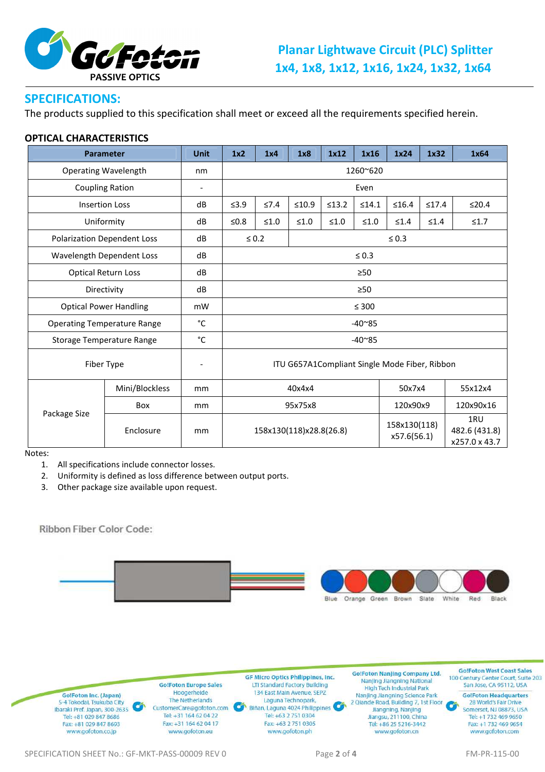

## **SPECIFICATIONS:**

The products supplied to this specification shall meet or exceed all the requirements specified herein.

#### **OPTICAL CHARACTERISTICS**

| <b>Parameter</b>                   |                | <b>Unit</b>              | 1x <sub>2</sub>                               | 1x4                      | 1x8        | 1x12   | 1x16   | 1x24                        | 1x32       | 1x64                                  |
|------------------------------------|----------------|--------------------------|-----------------------------------------------|--------------------------|------------|--------|--------|-----------------------------|------------|---------------------------------------|
| <b>Operating Wavelength</b>        |                | nm                       | 1260~620                                      |                          |            |        |        |                             |            |                                       |
| <b>Coupling Ration</b>             |                | $\overline{\phantom{a}}$ | Even                                          |                          |            |        |        |                             |            |                                       |
| <b>Insertion Loss</b>              |                | dB                       | $\leq 3.9$                                    | $\leq 7.4$               | $\leq10.9$ | ≤13.2  | ≤14.1  | $\leq 16.4$                 | ≤17.4      | ≤20.4                                 |
| Uniformity                         |                | dB                       | ≤ $0.8$                                       | $\leq 1.0$               | $≤1.0$     | $≤1.0$ | $≤1.0$ | $\leq 1.4$                  | $\leq 1.4$ | $\leq 1.7$                            |
| <b>Polarization Dependent Loss</b> |                | dB                       |                                               | $\leq 0.2$<br>$\leq 0.3$ |            |        |        |                             |            |                                       |
| Wavelength Dependent Loss          |                | dB                       | $\leq 0.3$                                    |                          |            |        |        |                             |            |                                       |
| <b>Optical Return Loss</b>         |                | dB                       | $\geq 50$                                     |                          |            |        |        |                             |            |                                       |
| Directivity                        |                | dB                       | $\geq 50$                                     |                          |            |        |        |                             |            |                                       |
| <b>Optical Power Handling</b>      |                | mW                       | $\leq 300$                                    |                          |            |        |        |                             |            |                                       |
| <b>Operating Temperature Range</b> |                | °C                       | $-40^{\circ}85$                               |                          |            |        |        |                             |            |                                       |
| Storage Temperature Range          |                | °C                       | $-40^{\circ}85$                               |                          |            |        |        |                             |            |                                       |
| Fiber Type                         |                |                          | ITU G657A1Compliant Single Mode Fiber, Ribbon |                          |            |        |        |                             |            |                                       |
| Package Size                       | Mini/Blockless | mm                       |                                               | 40x4x4                   |            |        | 50x7x4 |                             | 55x12x4    |                                       |
|                                    | Box            | mm                       |                                               | 95x75x8                  |            |        |        | 120x90x9                    |            | 120x90x16                             |
|                                    | Enclosure      | mm                       | 158x130(118)x28.8(26.8)                       |                          |            |        |        | 158x130(118)<br>x57.6(56.1) |            | 1RU<br>482.6 (431.8)<br>x257.0 x 43.7 |

Notes:

1. All specifications include connector losses.

2. Uniformity is defined as loss difference between output ports.

3. Other package size available upon request.

Ribbon Fiber Color Code:



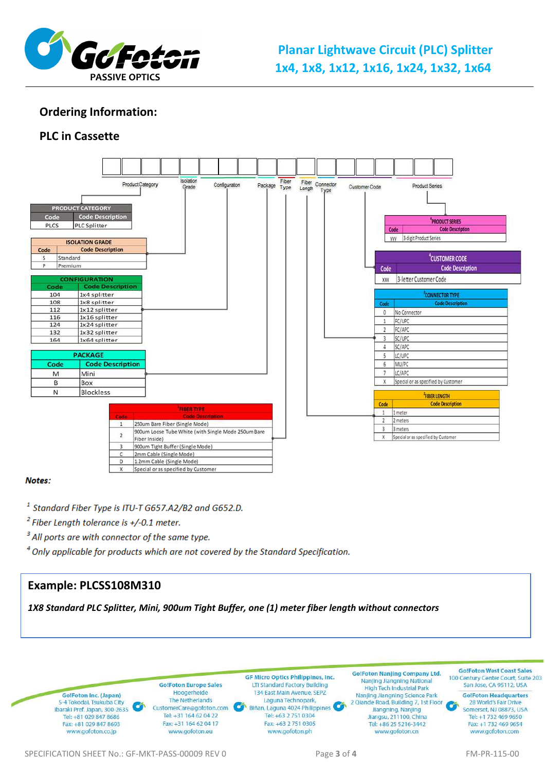

# **Planar Lightwave Circuit (PLC) Splitter 1x4, 1x8, 1x12, 1x16, 1x24, 1x32, 1x64**

## **Ordering Information:**

## **PLC in Cassette**



#### Notes:

<sup>1</sup> Standard Fiber Type is ITU-T G657.A2/B2 and G652.D.

 $2$  Fiber Length tolerance is +/-0.1 meter.

<sup>3</sup> All ports are with connector of the same type.

<sup>4</sup> Only applicable for products which are not covered by the Standard Specification.

#### **Example: PLCSS108M310**

*1X8 Standard PLC Splitter, Mini, 900um Tight Buffer, one (1) meter fiber length without connectors*